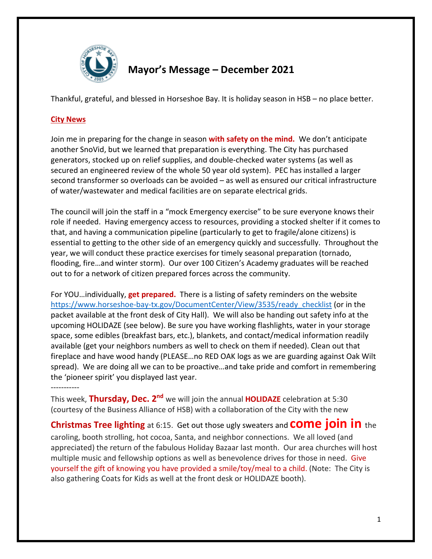

## **Mayor's Message – December 2021**

Thankful, grateful, and blessed in Horseshoe Bay. It is holiday season in HSB – no place better.

## **City News**

Join me in preparing for the change in season **with safety on the mind.** We don't anticipate another SnoVid, but we learned that preparation is everything. The City has purchased generators, stocked up on relief supplies, and double-checked water systems (as well as secured an engineered review of the whole 50 year old system). PEC has installed a larger second transformer so overloads can be avoided – as well as ensured our critical infrastructure of water/wastewater and medical facilities are on separate electrical grids.

The council will join the staff in a "mock Emergency exercise" to be sure everyone knows their role if needed. Having emergency access to resources, providing a stocked shelter if it comes to that, and having a communication pipeline (particularly to get to fragile/alone citizens) is essential to getting to the other side of an emergency quickly and successfully. Throughout the year, we will conduct these practice exercises for timely seasonal preparation (tornado, flooding, fire…and winter storm). Our over 100 Citizen's Academy graduates will be reached out to for a network of citizen prepared forces across the community.

For YOU…individually, **get prepared.** There is a listing of safety reminders on the website [https://www.horseshoe-bay-tx.gov/DocumentCenter/View/3535/ready\\_checklist](https://www.horseshoe-bay-tx.gov/DocumentCenter/View/3535/ready_checklist) (or in the packet available at the front desk of City Hall). We will also be handing out safety info at the upcoming HOLIDAZE (see below). Be sure you have working flashlights, water in your storage space, some edibles (breakfast bars, etc.), blankets, and contact/medical information readily available (get your neighbors numbers as well to check on them if needed). Clean out that fireplace and have wood handy (PLEASE…no RED OAK logs as we are guarding against Oak Wilt spread). We are doing all we can to be proactive…and take pride and comfort in remembering the 'pioneer spirit' you displayed last year.

-----------

This week, **Thursday, Dec. 2nd** we will join the annual **HOLIDAZE** celebration at 5:30 (courtesy of the Business Alliance of HSB) with a collaboration of the City with the new

**Christmas Tree lighting** at 6:15. Get out those ugly sweaters and **come join in** the caroling, booth strolling, hot cocoa, Santa, and neighbor connections. We all loved (and appreciated) the return of the fabulous Holiday Bazaar last month. Our area churches will host multiple music and fellowship options as well as benevolence drives for those in need. Give yourself the gift of knowing you have provided a smile/toy/meal to a child. (Note: The City is also gathering Coats for Kids as well at the front desk or HOLIDAZE booth).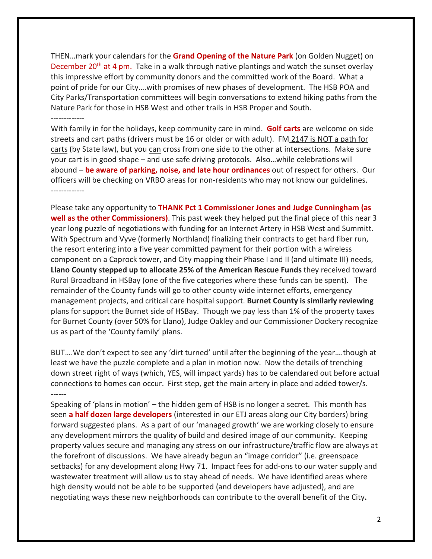THEN…mark your calendars for the **Grand Opening of the Nature Park** (on Golden Nugget) on December 20<sup>th</sup> at 4 pm. Take in a walk through native plantings and watch the sunset overlay this impressive effort by community donors and the committed work of the Board. What a point of pride for our City….with promises of new phases of development. The HSB POA and City Parks/Transportation committees will begin conversations to extend hiking paths from the Nature Park for those in HSB West and other trails in HSB Proper and South. -------------

With family in for the holidays, keep community care in mind. **Golf carts** are welcome on side streets and cart paths (drivers must be 16 or older or with adult). FM 2147 is NOT a path for carts (by State law), but you can cross from one side to the other at intersections. Make sure your cart is in good shape – and use safe driving protocols. Also…while celebrations will abound – **be aware of parking, noise, and late hour ordinances** out of respect for others. Our officers will be checking on VRBO areas for non-residents who may not know our guidelines. -------------

Please take any opportunity to **THANK Pct 1 Commissioner Jones and Judge Cunningham (as well as the other Commissioners)**. This past week they helped put the final piece of this near 3 year long puzzle of negotiations with funding for an Internet Artery in HSB West and Summitt. With Spectrum and Vyve (formerly Northland) finalizing their contracts to get hard fiber run, the resort entering into a five year committed payment for their portion with a wireless component on a Caprock tower, and City mapping their Phase I and II (and ultimate III) needs, **Llano County stepped up to allocate 25% of the American Rescue Funds** they received toward Rural Broadband in HSBay (one of the five categories where these funds can be spent). The remainder of the County funds will go to other county wide internet efforts, emergency management projects, and critical care hospital support. **Burnet County is similarly reviewing** plans for support the Burnet side of HSBay. Though we pay less than 1% of the property taxes for Burnet County (over 50% for Llano), Judge Oakley and our Commissioner Dockery recognize us as part of the 'County family' plans.

BUT….We don't expect to see any 'dirt turned' until after the beginning of the year….though at least we have the puzzle complete and a plan in motion now. Now the details of trenching down street right of ways (which, YES, will impact yards) has to be calendared out before actual connections to homes can occur. First step, get the main artery in place and added tower/s. ------

Speaking of 'plans in motion' – the hidden gem of HSB is no longer a secret. This month has seen **a half dozen large developers** (interested in our ETJ areas along our City borders) bring forward suggested plans. As a part of our 'managed growth' we are working closely to ensure any development mirrors the quality of build and desired image of our community. Keeping property values secure and managing any stress on our infrastructure/traffic flow are always at the forefront of discussions. We have already begun an "image corridor" (i.e. greenspace setbacks) for any development along Hwy 71. Impact fees for add-ons to our water supply and wastewater treatment will allow us to stay ahead of needs. We have identified areas where high density would not be able to be supported (and developers have adjusted), and are negotiating ways these new neighborhoods can contribute to the overall benefit of the City**.**